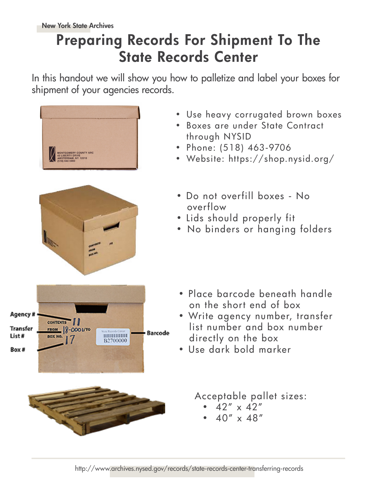## Preparing Records For Shipment To The State Records Center

In this handout we will show you how to palletize and label your boxes for shipment of your agencies records.



Agency # CONTENTS | | Transfer **FROM 8-0001/TO Barcode** List# .......... **BOX NO** B2700000 Box#



- Use heavy corrugated brown boxes
- Boxes are under State Contract through NYSID
- Phone: (518) 463-9706
- Website: https://shop.nysid.org/
- Do not overfill boxes No overflow
- Lids should properly fit
- No binders or hanging folders

- Place barcode beneath handle on the short end of box
- Write agency number, transfer list number and box number directly on the box
- Use dark bold marker

Acceptable pallet sizes:

- $42'' \times 42''$
- $40'' \times 48''$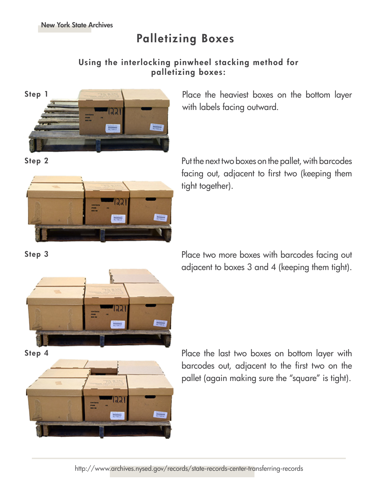## Palletizing Boxes

## Using the interlocking pinwheel stacking method for palletizing boxes:



Step 1 **Place the heaviest boxes on the bottom layer** with labels facing outward.



Step 2 **Step 2** Put the next two boxes on the pallet, with barcodes facing out, adjacent to first two (keeping them tight together).





Step 3 **Place two more boxes with barcodes facing out** Place two more boxes with barcodes facing out adjacent to boxes 3 and 4 (keeping them tight).

Step 4 **Place the last two boxes on bottom layer with** barcodes out, adjacent to the first two on the pallet (again making sure the "square" is tight).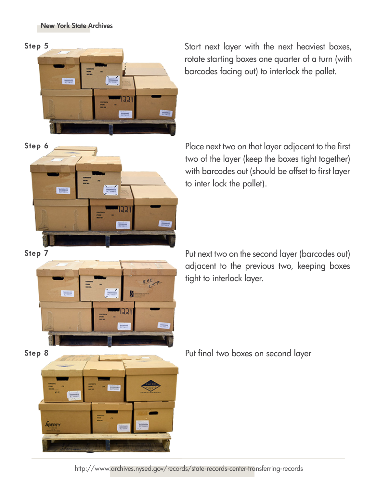

Step 5 Start next layer with the next heaviest boxes, rotate starting boxes one quarter of a turn (with barcodes facing out) to interlock the pallet.



Step 6 Place next two on that layer adjacent to the first two of the layer (keep the boxes tight together) with barcodes out (should be offset to first layer to inter lock the pallet).



Step 7 **Put next two on the second layer (barcodes out)** adjacent to the previous two, keeping boxes tight to interlock layer.



Step 8 Put final two boxes on second layer

http://www.archives.nysed.gov/records/state-records-center-transferring-records